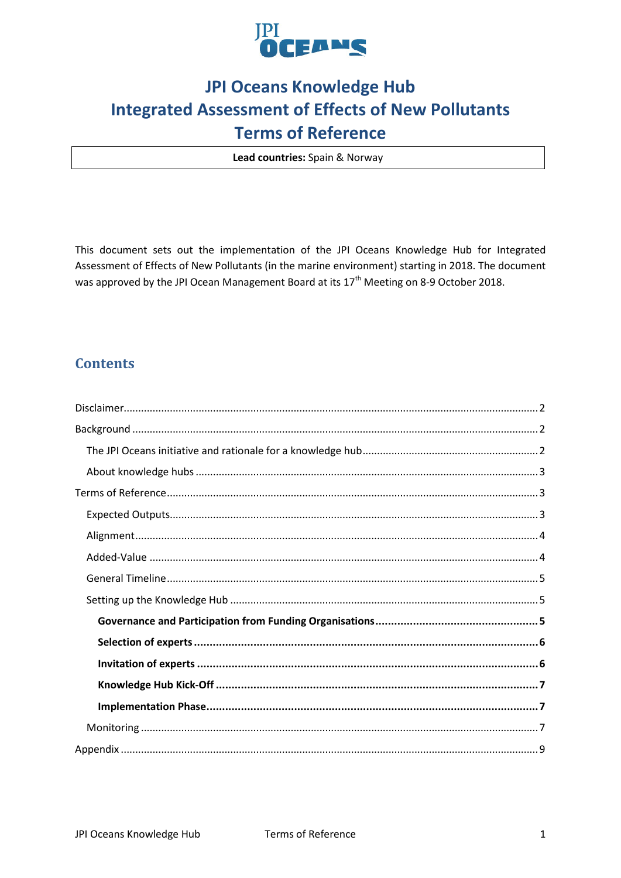

# **JPI Oceans Knowledge Hub Integrated Assessment of Effects of New Pollutants Terms of Reference**

Lead countries: Spain & Norway

This document sets out the implementation of the JPI Oceans Knowledge Hub for Integrated Assessment of Effects of New Pollutants (in the marine environment) starting in 2018. The document was approved by the JPI Ocean Management Board at its 17<sup>th</sup> Meeting on 8-9 October 2018.

## **Contents**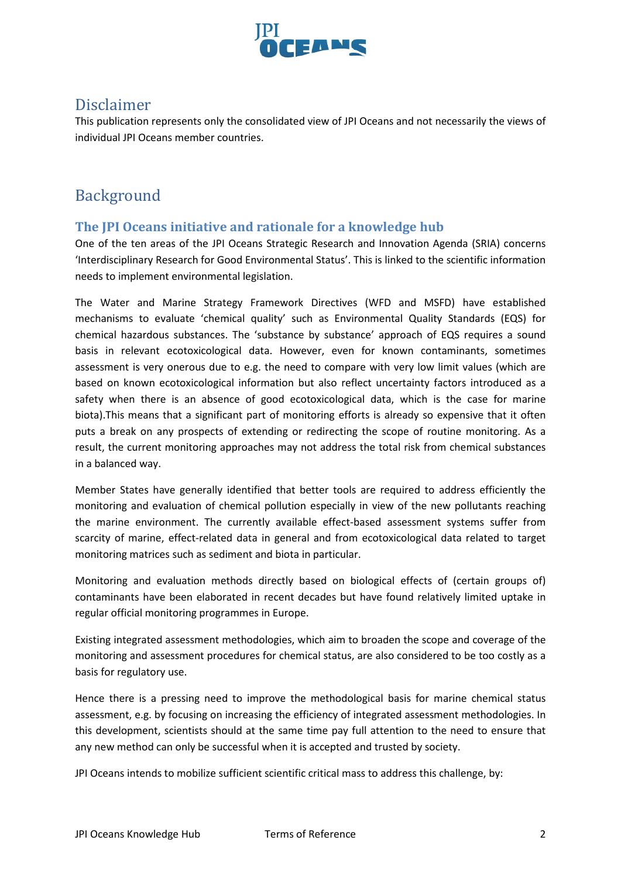

## <span id="page-1-0"></span>Disclaimer

This publication represents only the consolidated view of JPI Oceans and not necessarily the views of individual JPI Oceans member countries.

## <span id="page-1-1"></span>Background

## <span id="page-1-2"></span>**The JPI Oceans initiative and rationale for a knowledge hub**

One of the ten areas of the JPI Oceans Strategic Research and Innovation Agenda (SRIA) concerns 'Interdisciplinary Research for Good Environmental Status'. This is linked to the scientific information needs to implement environmental legislation.

The Water and Marine Strategy Framework Directives (WFD and MSFD) have established mechanisms to evaluate 'chemical quality' such as Environmental Quality Standards (EQS) for chemical hazardous substances. The 'substance by substance' approach of EQS requires a sound basis in relevant ecotoxicological data. However, even for known contaminants, sometimes assessment is very onerous due to e.g. the need to compare with very low limit values (which are based on known ecotoxicological information but also reflect uncertainty factors introduced as a safety when there is an absence of good ecotoxicological data, which is the case for marine biota).This means that a significant part of monitoring efforts is already so expensive that it often puts a break on any prospects of extending or redirecting the scope of routine monitoring. As a result, the current monitoring approaches may not address the total risk from chemical substances in a balanced way.

Member States have generally identified that better tools are required to address efficiently the monitoring and evaluation of chemical pollution especially in view of the new pollutants reaching the marine environment. The currently available effect-based assessment systems suffer from scarcity of marine, effect-related data in general and from ecotoxicological data related to target monitoring matrices such as sediment and biota in particular.

Monitoring and evaluation methods directly based on biological effects of (certain groups of) contaminants have been elaborated in recent decades but have found relatively limited uptake in regular official monitoring programmes in Europe.

Existing integrated assessment methodologies, which aim to broaden the scope and coverage of the monitoring and assessment procedures for chemical status, are also considered to be too costly as a basis for regulatory use.

Hence there is a pressing need to improve the methodological basis for marine chemical status assessment, e.g. by focusing on increasing the efficiency of integrated assessment methodologies. In this development, scientists should at the same time pay full attention to the need to ensure that any new method can only be successful when it is accepted and trusted by society.

JPI Oceans intends to mobilize sufficient scientific critical mass to address this challenge, by: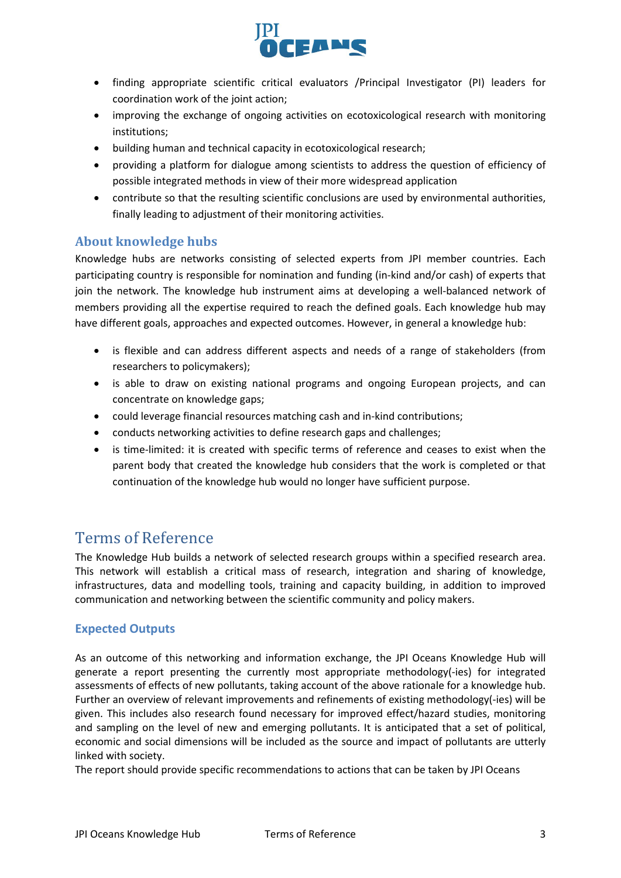

- finding appropriate scientific critical evaluators /Principal Investigator (PI) leaders for coordination work of the joint action;
- improving the exchange of ongoing activities on ecotoxicological research with monitoring institutions;
- building human and technical capacity in ecotoxicological research;
- providing a platform for dialogue among scientists to address the question of efficiency of possible integrated methods in view of their more widespread application
- contribute so that the resulting scientific conclusions are used by environmental authorities, finally leading to adjustment of their monitoring activities.

## <span id="page-2-0"></span>**About knowledge hubs**

Knowledge hubs are networks consisting of selected experts from JPI member countries. Each participating country is responsible for nomination and funding (in-kind and/or cash) of experts that join the network. The knowledge hub instrument aims at developing a well-balanced network of members providing all the expertise required to reach the defined goals. Each knowledge hub may have different goals, approaches and expected outcomes. However, in general a knowledge hub:

- is flexible and can address different aspects and needs of a range of stakeholders (from researchers to policymakers);
- is able to draw on existing national programs and ongoing European projects, and can concentrate on knowledge gaps;
- could leverage financial resources matching cash and in-kind contributions;
- conducts networking activities to define research gaps and challenges;
- is time-limited: it is created with specific terms of reference and ceases to exist when the parent body that created the knowledge hub considers that the work is completed or that continuation of the knowledge hub would no longer have sufficient purpose.

## <span id="page-2-1"></span>Terms of Reference

The Knowledge Hub builds a network of selected research groups within a specified research area. This network will establish a critical mass of research, integration and sharing of knowledge, infrastructures, data and modelling tools, training and capacity building, in addition to improved communication and networking between the scientific community and policy makers.

## <span id="page-2-2"></span>**Expected Outputs**

As an outcome of this networking and information exchange, the JPI Oceans Knowledge Hub will generate a report presenting the currently most appropriate methodology(-ies) for integrated assessments of effects of new pollutants, taking account of the above rationale for a knowledge hub. Further an overview of relevant improvements and refinements of existing methodology(-ies) will be given. This includes also research found necessary for improved effect/hazard studies, monitoring and sampling on the level of new and emerging pollutants. It is anticipated that a set of political, economic and social dimensions will be included as the source and impact of pollutants are utterly linked with society.

The report should provide specific recommendations to actions that can be taken by JPI Oceans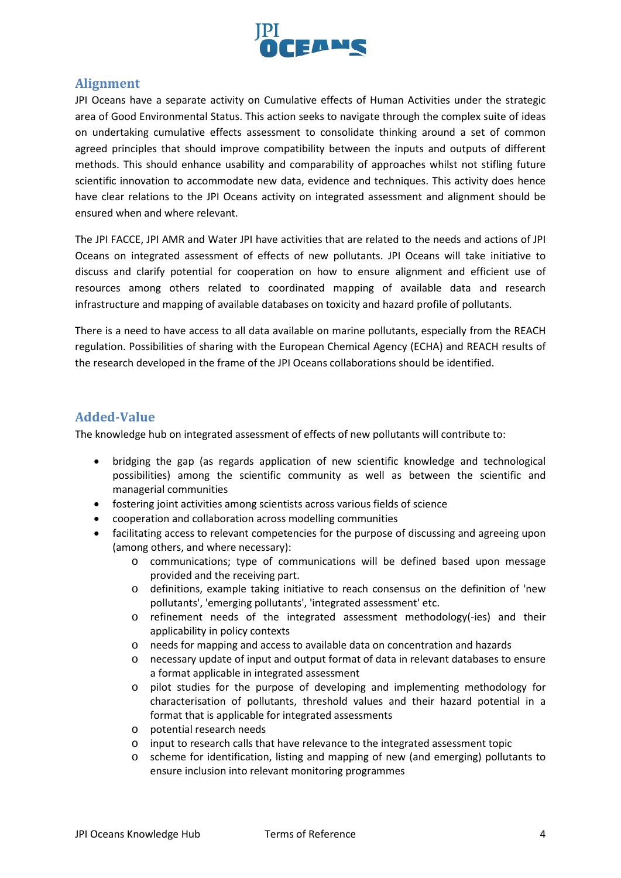

## <span id="page-3-0"></span>**Alignment**

JPI Oceans have a separate activity on Cumulative effects of Human Activities under the strategic area of Good Environmental Status. This action seeks to navigate through the complex suite of ideas on undertaking cumulative effects assessment to consolidate thinking around a set of common agreed principles that should improve compatibility between the inputs and outputs of different methods. This should enhance usability and comparability of approaches whilst not stifling future scientific innovation to accommodate new data, evidence and techniques. This activity does hence have clear relations to the JPI Oceans activity on integrated assessment and alignment should be ensured when and where relevant.

The JPI FACCE, JPI AMR and Water JPI have activities that are related to the needs and actions of JPI Oceans on integrated assessment of effects of new pollutants. JPI Oceans will take initiative to discuss and clarify potential for cooperation on how to ensure alignment and efficient use of resources among others related to coordinated mapping of available data and research infrastructure and mapping of available databases on toxicity and hazard profile of pollutants.

There is a need to have access to all data available on marine pollutants, especially from the REACH regulation. Possibilities of sharing with the European Chemical Agency (ECHA) and REACH results of the research developed in the frame of the JPI Oceans collaborations should be identified.

## <span id="page-3-1"></span>**Added-Value**

The knowledge hub on integrated assessment of effects of new pollutants will contribute to:

- bridging the gap (as regards application of new scientific knowledge and technological possibilities) among the scientific community as well as between the scientific and managerial communities
- fostering joint activities among scientists across various fields of science
- cooperation and collaboration across modelling communities
- facilitating access to relevant competencies for the purpose of discussing and agreeing upon (among others, and where necessary):
	- o communications; type of communications will be defined based upon message provided and the receiving part.
	- o definitions, example taking initiative to reach consensus on the definition of 'new pollutants', 'emerging pollutants', 'integrated assessment' etc.
	- o refinement needs of the integrated assessment methodology(-ies) and their applicability in policy contexts
	- o needs for mapping and access to available data on concentration and hazards
	- o necessary update of input and output format of data in relevant databases to ensure a format applicable in integrated assessment
	- o pilot studies for the purpose of developing and implementing methodology for characterisation of pollutants, threshold values and their hazard potential in a format that is applicable for integrated assessments
	- o potential research needs
	- o input to research calls that have relevance to the integrated assessment topic
	- o scheme for identification, listing and mapping of new (and emerging) pollutants to ensure inclusion into relevant monitoring programmes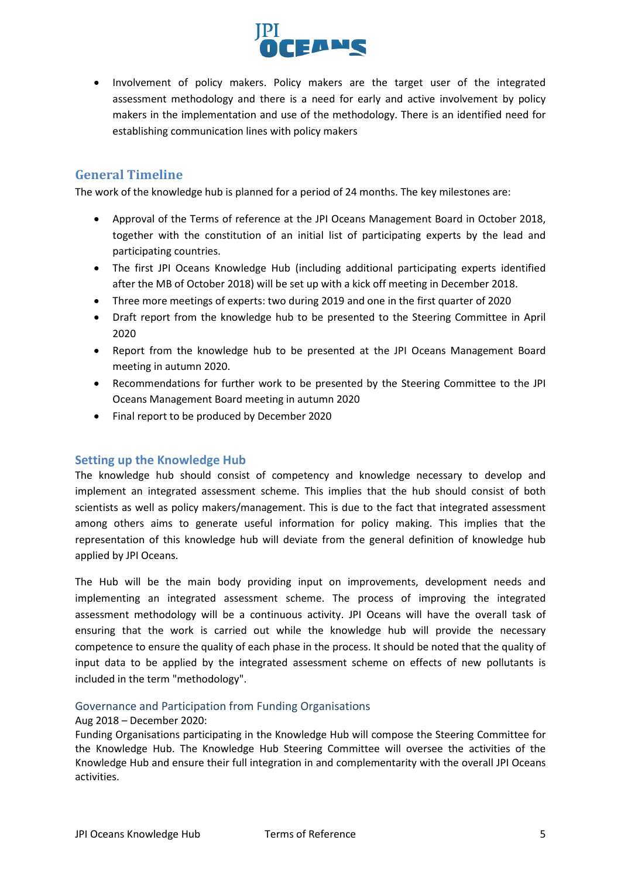

• Involvement of policy makers. Policy makers are the target user of the integrated assessment methodology and there is a need for early and active involvement by policy makers in the implementation and use of the methodology. There is an identified need for establishing communication lines with policy makers

## <span id="page-4-0"></span>**General Timeline**

The work of the knowledge hub is planned for a period of 24 months. The key milestones are:

- Approval of the Terms of reference at the JPI Oceans Management Board in October 2018, together with the constitution of an initial list of participating experts by the lead and participating countries.
- The first JPI Oceans Knowledge Hub (including additional participating experts identified after the MB of October 2018) will be set up with a kick off meeting in December 2018.
- Three more meetings of experts: two during 2019 and one in the first quarter of 2020
- Draft report from the knowledge hub to be presented to the Steering Committee in April 2020
- Report from the knowledge hub to be presented at the JPI Oceans Management Board meeting in autumn 2020.
- Recommendations for further work to be presented by the Steering Committee to the JPI Oceans Management Board meeting in autumn 2020
- Final report to be produced by December 2020

## <span id="page-4-1"></span>**Setting up the Knowledge Hub**

The knowledge hub should consist of competency and knowledge necessary to develop and implement an integrated assessment scheme. This implies that the hub should consist of both scientists as well as policy makers/management. This is due to the fact that integrated assessment among others aims to generate useful information for policy making. This implies that the representation of this knowledge hub will deviate from the general definition of knowledge hub applied by JPI Oceans.

The Hub will be the main body providing input on improvements, development needs and implementing an integrated assessment scheme. The process of improving the integrated assessment methodology will be a continuous activity. JPI Oceans will have the overall task of ensuring that the work is carried out while the knowledge hub will provide the necessary competence to ensure the quality of each phase in the process. It should be noted that the quality of input data to be applied by the integrated assessment scheme on effects of new pollutants is included in the term "methodology".

#### <span id="page-4-2"></span>Governance and Participation from Funding Organisations

#### Aug 2018 – December 2020:

Funding Organisations participating in the Knowledge Hub will compose the Steering Committee for the Knowledge Hub. The Knowledge Hub Steering Committee will oversee the activities of the Knowledge Hub and ensure their full integration in and complementarity with the overall JPI Oceans activities.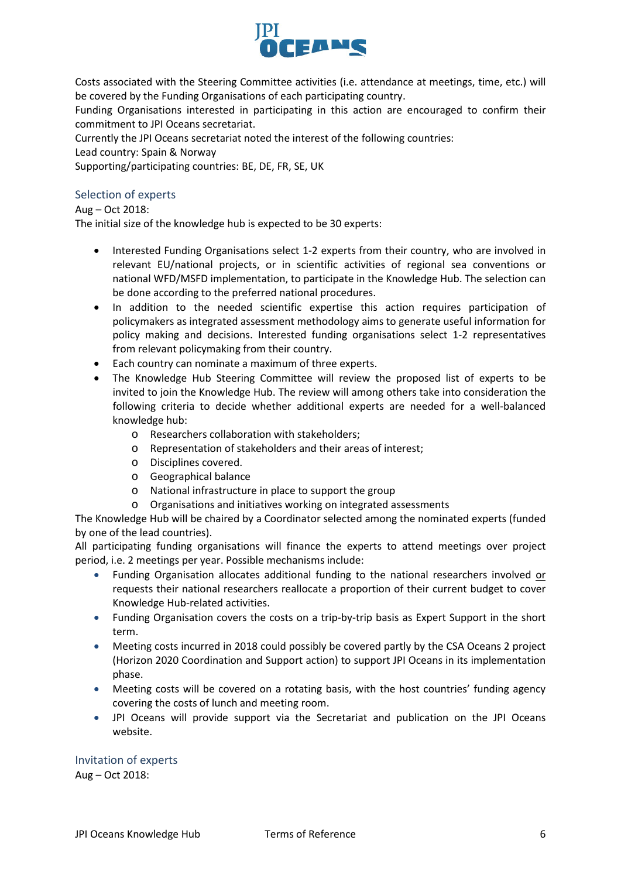

Costs associated with the Steering Committee activities (i.e. attendance at meetings, time, etc.) will be covered by the Funding Organisations of each participating country.

Funding Organisations interested in participating in this action are encouraged to confirm their commitment to JPI Oceans secretariat.

Currently the JPI Oceans secretariat noted the interest of the following countries:

Lead country: Spain & Norway

Supporting/participating countries: BE, DE, FR, SE, UK

## <span id="page-5-0"></span>Selection of experts

Aug – Oct 2018:

The initial size of the knowledge hub is expected to be 30 experts:

- Interested Funding Organisations select 1-2 experts from their country, who are involved in relevant EU/national projects, or in scientific activities of regional sea conventions or national WFD/MSFD implementation, to participate in the Knowledge Hub. The selection can be done according to the preferred national procedures.
- In addition to the needed scientific expertise this action requires participation of policymakers as integrated assessment methodology aims to generate useful information for policy making and decisions. Interested funding organisations select 1-2 representatives from relevant policymaking from their country.
- Each country can nominate a maximum of three experts.
- The Knowledge Hub Steering Committee will review the proposed list of experts to be invited to join the Knowledge Hub. The review will among others take into consideration the following criteria to decide whether additional experts are needed for a well-balanced knowledge hub:
	- o Researchers collaboration with stakeholders;
	- o Representation of stakeholders and their areas of interest;
	- o Disciplines covered.
	- o Geographical balance
	- o National infrastructure in place to support the group
	- o Organisations and initiatives working on integrated assessments

The Knowledge Hub will be chaired by a Coordinator selected among the nominated experts (funded by one of the lead countries).

All participating funding organisations will finance the experts to attend meetings over project period, i.e. 2 meetings per year. Possible mechanisms include:

- Funding Organisation allocates additional funding to the national researchers involved or requests their national researchers reallocate a proportion of their current budget to cover Knowledge Hub-related activities.
- Funding Organisation covers the costs on a trip-by-trip basis as Expert Support in the short term.
- Meeting costs incurred in 2018 could possibly be covered partly by the CSA Oceans 2 project (Horizon 2020 Coordination and Support action) to support JPI Oceans in its implementation phase.
- Meeting costs will be covered on a rotating basis, with the host countries' funding agency covering the costs of lunch and meeting room.
- JPI Oceans will provide support via the Secretariat and publication on the JPI Oceans website.

## <span id="page-5-1"></span>Invitation of experts

Aug – Oct 2018: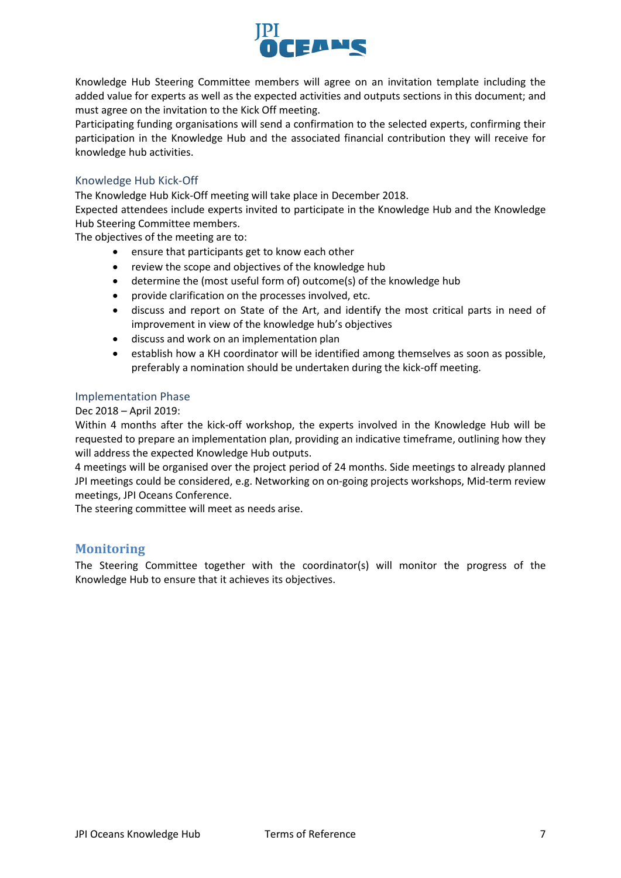

Knowledge Hub Steering Committee members will agree on an invitation template including the added value for experts as well as the expected activities and outputs sections in this document; and must agree on the invitation to the Kick Off meeting.

Participating funding organisations will send a confirmation to the selected experts, confirming their participation in the Knowledge Hub and the associated financial contribution they will receive for knowledge hub activities.

### <span id="page-6-0"></span>Knowledge Hub Kick-Off

The Knowledge Hub Kick-Off meeting will take place in December 2018.

Expected attendees include experts invited to participate in the Knowledge Hub and the Knowledge Hub Steering Committee members.

The objectives of the meeting are to:

- ensure that participants get to know each other
- review the scope and objectives of the knowledge hub
- determine the (most useful form of) outcome(s) of the knowledge hub
- provide clarification on the processes involved, etc.
- discuss and report on State of the Art, and identify the most critical parts in need of improvement in view of the knowledge hub's objectives
- discuss and work on an implementation plan
- establish how a KH coordinator will be identified among themselves as soon as possible, preferably a nomination should be undertaken during the kick-off meeting.

#### <span id="page-6-1"></span>Implementation Phase

Dec 2018 – April 2019:

Within 4 months after the kick-off workshop, the experts involved in the Knowledge Hub will be requested to prepare an implementation plan, providing an indicative timeframe, outlining how they will address the expected Knowledge Hub outputs.

4 meetings will be organised over the project period of 24 months. Side meetings to already planned JPI meetings could be considered, e.g. Networking on on-going projects workshops, Mid-term review meetings, JPI Oceans Conference.

The steering committee will meet as needs arise.

#### <span id="page-6-2"></span>**Monitoring**

The Steering Committee together with the coordinator(s) will monitor the progress of the Knowledge Hub to ensure that it achieves its objectives.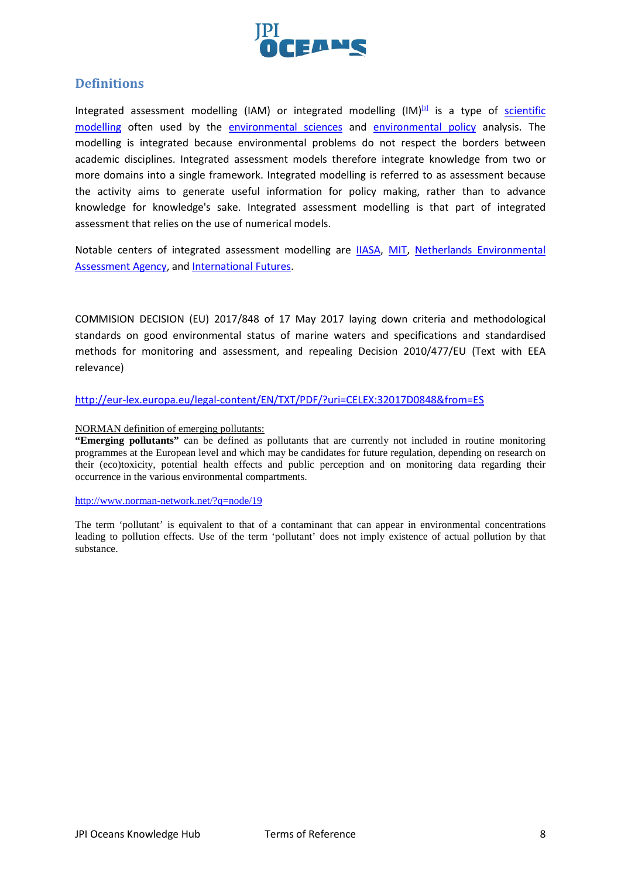

## **Definitions**

Integrated assessment modelling (IAM) or integrated modelling  $(IM)^{[a]}$  is a type of scientific [modelling](https://en.wikipedia.org/wiki/Scientific_modelling) often used by the [environmental sciences](https://en.wikipedia.org/wiki/Environmental_sciences) and [environmental policy](https://en.wikipedia.org/wiki/Environmental_policy) analysis. The modelling is integrated because environmental problems do not respect the borders between academic disciplines. Integrated assessment models therefore integrate knowledge from two or more domains into a single framework. Integrated modelling is referred to as assessment because the activity aims to generate useful information for policy making, rather than to advance knowledge for knowledge's sake. Integrated assessment modelling is that part of integrated assessment that relies on the use of numerical models.

Notable centers of integrated assessment modelling are **IIASA**, [MIT,](https://en.wikipedia.org/wiki/MIT) Netherlands Environmental [Assessment Agency,](https://en.wikipedia.org/wiki/Netherlands_Environmental_Assessment_Agency) and [International Futures.](https://en.wikipedia.org/wiki/International_Futures)

COMMISION DECISION (EU) 2017/848 of 17 May 2017 laying down criteria and methodological standards on good environmental status of marine waters and specifications and standardised methods for monitoring and assessment, and repealing Decision 2010/477/EU (Text with EEA relevance)

<http://eur-lex.europa.eu/legal-content/EN/TXT/PDF/?uri=CELEX:32017D0848&from=ES>

#### NORMAN definition of emerging pollutants:

**"Emerging pollutants"** can be defined as pollutants that are currently not included in routine monitoring programmes at the European level and which may be candidates for future regulation, depending on research on their (eco)toxicity, potential health effects and public perception and on monitoring data regarding their occurrence in the various environmental compartments.

#### <http://www.norman-network.net/?q=node/19>

The term 'pollutant' is equivalent to that of a contaminant that can appear in environmental concentrations leading to pollution effects. Use of the term 'pollutant' does not imply existence of actual pollution by that substance.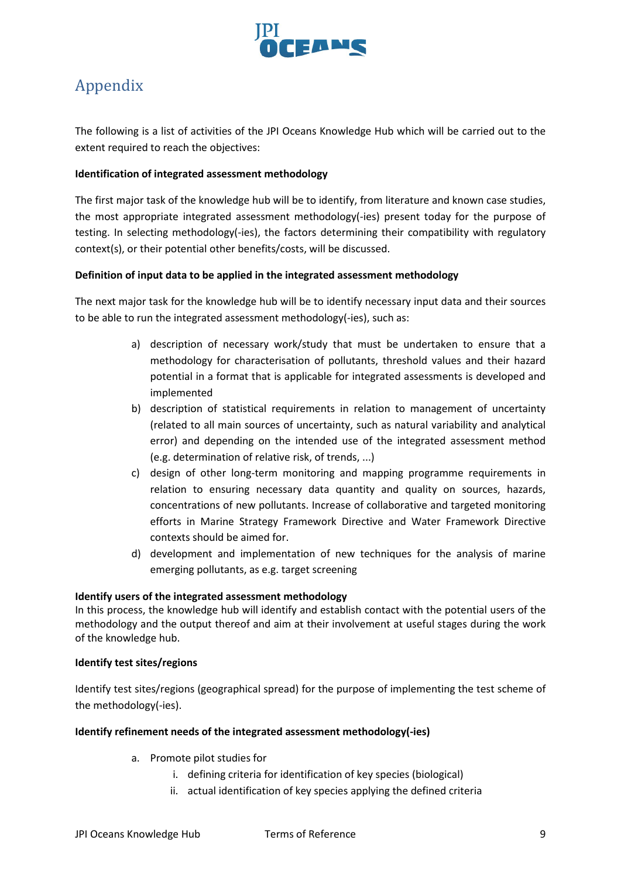

# <span id="page-8-0"></span>Appendix

The following is a list of activities of the JPI Oceans Knowledge Hub which will be carried out to the extent required to reach the objectives:

### **Identification of integrated assessment methodology**

The first major task of the knowledge hub will be to identify, from literature and known case studies, the most appropriate integrated assessment methodology(-ies) present today for the purpose of testing. In selecting methodology(-ies), the factors determining their compatibility with regulatory context(s), or their potential other benefits/costs, will be discussed.

### **Definition of input data to be applied in the integrated assessment methodology**

The next major task for the knowledge hub will be to identify necessary input data and their sources to be able to run the integrated assessment methodology(-ies), such as:

- a) description of necessary work/study that must be undertaken to ensure that a methodology for characterisation of pollutants, threshold values and their hazard potential in a format that is applicable for integrated assessments is developed and implemented
- b) description of statistical requirements in relation to management of uncertainty (related to all main sources of uncertainty, such as natural variability and analytical error) and depending on the intended use of the integrated assessment method (e.g. determination of relative risk, of trends, ...)
- c) design of other long-term monitoring and mapping programme requirements in relation to ensuring necessary data quantity and quality on sources, hazards, concentrations of new pollutants. Increase of collaborative and targeted monitoring efforts in Marine Strategy Framework Directive and Water Framework Directive contexts should be aimed for.
- d) development and implementation of new techniques for the analysis of marine emerging pollutants, as e.g. target screening

#### **Identify users of the integrated assessment methodology**

In this process, the knowledge hub will identify and establish contact with the potential users of the methodology and the output thereof and aim at their involvement at useful stages during the work of the knowledge hub.

#### **Identify test sites/regions**

Identify test sites/regions (geographical spread) for the purpose of implementing the test scheme of the methodology(-ies).

#### **Identify refinement needs of the integrated assessment methodology(-ies)**

- a. Promote pilot studies for
	- i. defining criteria for identification of key species (biological)
	- ii. actual identification of key species applying the defined criteria